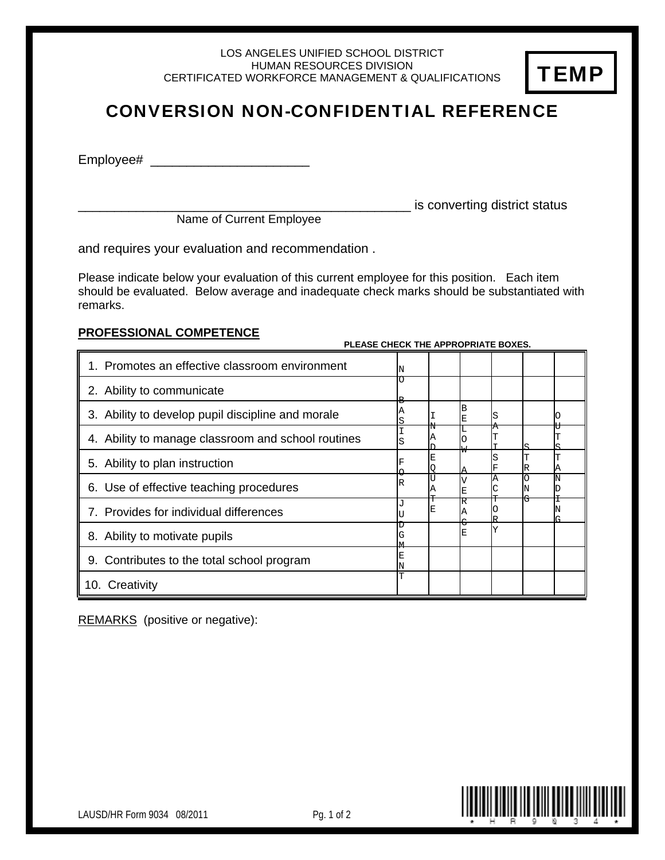LOS ANGELES UNIFIED SCHOOL DISTRICT HUMAN RESOURCES DIVISION CERTIFICATED WORKFORCE MANAGEMENT & QUALIFICATIONS



## CONVERSION NON-CONFIDENTIAL REFERENCE

Employee# \_

is converting district status Name of Current Employee

**PLEASE CHECK THE APPROPRIATE BOYES.** 

and requires your evaluation and recommendation .

Please indicate below your evaluation of this current employee for this position. Each item should be evaluated. Below average and inadequate check marks should be substantiated with remarks.

## **PROFESSIONAL COMPETENCE**

| <u>I LLAJL UNLUK INLIAI I KUI KIATLIDUALU.</u>     |   |   |   |  |   |
|----------------------------------------------------|---|---|---|--|---|
| 1. Promotes an effective classroom environment     | N |   |   |  |   |
| 2. Ability to communicate                          | Ω |   |   |  |   |
| 3. Ability to develop pupil discipline and morale  |   |   | в |  |   |
| 4. Ability to manage classroom and school routines | S | Α |   |  |   |
| 5. Ability to plan instruction                     |   | E |   |  | Α |
| 6. Use of effective teaching procedures            | R | Α |   |  |   |
| 7. Provides for individual differences             |   | E | R |  |   |
| 8. Ability to motivate pupils                      | G |   | E |  |   |
| 9. Contributes to the total school program         | E |   |   |  |   |
| 10. Creativity                                     |   |   |   |  |   |

REMARKS (positive or negative):